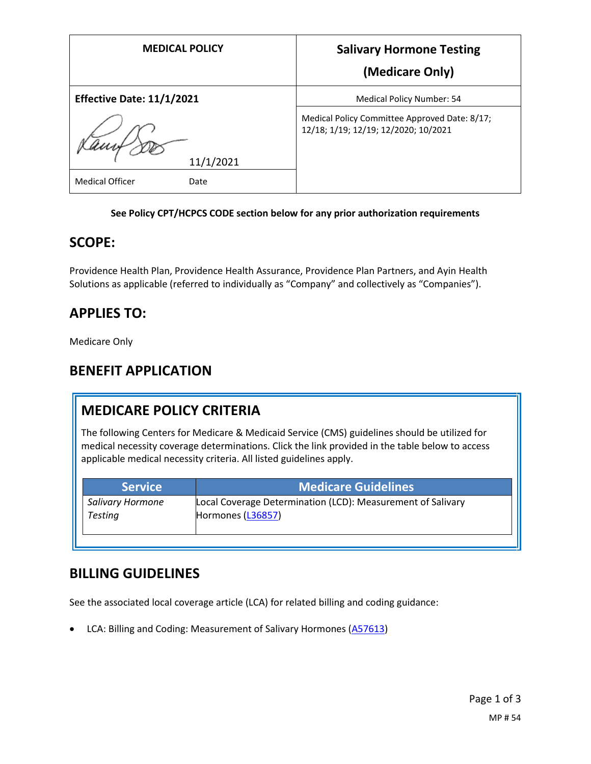| <b>MEDICAL POLICY</b>            | <b>Salivary Hormone Testing</b>                                                       |
|----------------------------------|---------------------------------------------------------------------------------------|
|                                  | (Medicare Only)                                                                       |
| <b>Effective Date: 11/1/2021</b> | Medical Policy Number: 54                                                             |
|                                  | Medical Policy Committee Approved Date: 8/17;<br>12/18; 1/19; 12/19; 12/2020; 10/2021 |
| 11/1/2021                        |                                                                                       |
| <b>Medical Officer</b><br>Date   |                                                                                       |

#### **See Policy CPT/HCPCS CODE section below for any prior authorization requirements**

## **SCOPE:**

Providence Health Plan, Providence Health Assurance, Providence Plan Partners, and Ayin Health Solutions as applicable (referred to individually as "Company" and collectively as "Companies").

## **APPLIES TO:**

Medicare Only

## **BENEFIT APPLICATION**

# **MEDICARE POLICY CRITERIA**

The following Centers for Medicare & Medicaid Service (CMS) guidelines should be utilized for medical necessity coverage determinations. Click the link provided in the table below to access applicable medical necessity criteria. All listed guidelines apply.

| <b>Service</b>   | <b>Medicare Guidelines</b>                                  |
|------------------|-------------------------------------------------------------|
| Salivary Hormone | Local Coverage Determination (LCD): Measurement of Salivary |
| <b>Testing</b>   | Hormones (L36857)                                           |

## **BILLING GUIDELINES**

See the associated local coverage article (LCA) for related billing and coding guidance:

• LCA: Billing and Coding: Measurement of Salivary Hormones [\(A57613\)](https://www.cms.gov/medicare-coverage-database/details/article-details.aspx?articleId=57613)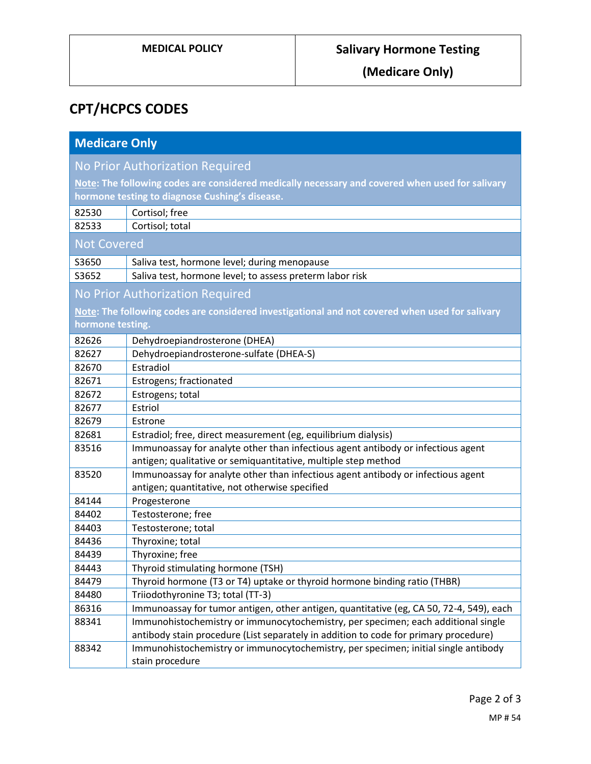**(Medicare Only)**

# **CPT/HCPCS CODES**

| <b>Medicare Only</b>                                                                            |                                                                                                       |  |
|-------------------------------------------------------------------------------------------------|-------------------------------------------------------------------------------------------------------|--|
| No Prior Authorization Required                                                                 |                                                                                                       |  |
| Note: The following codes are considered medically necessary and covered when used for salivary |                                                                                                       |  |
| hormone testing to diagnose Cushing's disease.                                                  |                                                                                                       |  |
| 82530                                                                                           | Cortisol; free                                                                                        |  |
| 82533                                                                                           | Cortisol; total                                                                                       |  |
| <b>Not Covered</b>                                                                              |                                                                                                       |  |
| S3650                                                                                           | Saliva test, hormone level; during menopause                                                          |  |
| S3652                                                                                           | Saliva test, hormone level; to assess preterm labor risk                                              |  |
| No Prior Authorization Required                                                                 |                                                                                                       |  |
|                                                                                                 | Note: The following codes are considered investigational and not covered when used for salivary       |  |
| hormone testing.                                                                                |                                                                                                       |  |
| 82626                                                                                           | Dehydroepiandrosterone (DHEA)                                                                         |  |
| 82627                                                                                           | Dehydroepiandrosterone-sulfate (DHEA-S)                                                               |  |
| 82670                                                                                           | Estradiol                                                                                             |  |
| 82671                                                                                           | Estrogens; fractionated                                                                               |  |
| 82672                                                                                           | Estrogens; total                                                                                      |  |
| 82677                                                                                           | Estriol                                                                                               |  |
| 82679                                                                                           | Estrone                                                                                               |  |
| 82681                                                                                           | Estradiol; free, direct measurement (eg, equilibrium dialysis)                                        |  |
| 83516                                                                                           | Immunoassay for analyte other than infectious agent antibody or infectious agent                      |  |
|                                                                                                 | antigen; qualitative or semiquantitative, multiple step method                                        |  |
| 83520                                                                                           | Immunoassay for analyte other than infectious agent antibody or infectious agent                      |  |
|                                                                                                 | antigen; quantitative, not otherwise specified                                                        |  |
| 84144                                                                                           | Progesterone                                                                                          |  |
| 84402                                                                                           | Testosterone; free                                                                                    |  |
| 84403                                                                                           | Testosterone; total                                                                                   |  |
| 84436                                                                                           | Thyroxine; total                                                                                      |  |
| 84439                                                                                           | Thyroxine; free                                                                                       |  |
| 84443                                                                                           | Thyroid stimulating hormone (TSH)                                                                     |  |
| 84479                                                                                           | Thyroid hormone (T3 or T4) uptake or thyroid hormone binding ratio (THBR)                             |  |
| 84480                                                                                           | Triiodothyronine T3; total (TT-3)                                                                     |  |
| 86316                                                                                           | Immunoassay for tumor antigen, other antigen, quantitative (eg, CA 50, 72-4, 549), each               |  |
| 88341                                                                                           | Immunohistochemistry or immunocytochemistry, per specimen; each additional single                     |  |
|                                                                                                 | antibody stain procedure (List separately in addition to code for primary procedure)                  |  |
| 88342                                                                                           | Immunohistochemistry or immunocytochemistry, per specimen; initial single antibody<br>stain procedure |  |